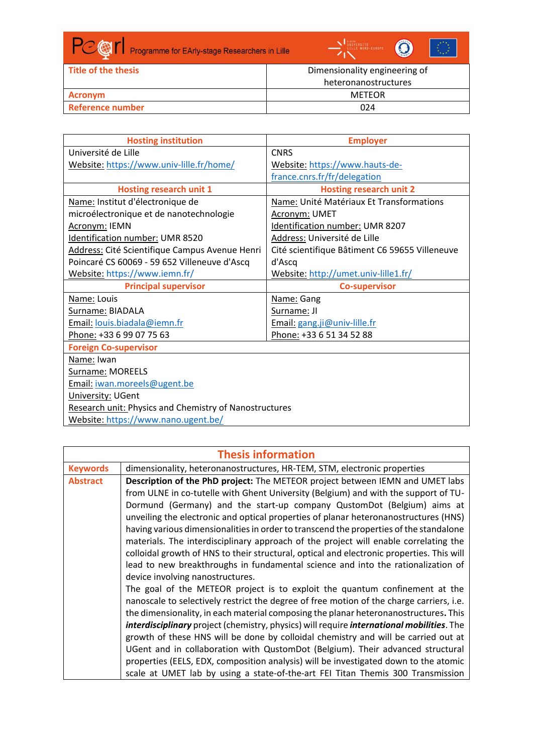

| Title of the thesis     | Dimensionality engineering of |
|-------------------------|-------------------------------|
|                         | heteronanostructures          |
| Acronym                 | METEOR                        |
| <b>Reference number</b> | 024                           |

| <b>Hosting institution</b>                                    | <b>Employer</b>                                |
|---------------------------------------------------------------|------------------------------------------------|
| Université de Lille                                           | <b>CNRS</b>                                    |
| Website: https://www.univ-lille.fr/home/                      | Website: https://www.hauts-de-                 |
|                                                               | france.cnrs.fr/fr/delegation                   |
| <b>Hosting research unit 1</b>                                | <b>Hosting research unit 2</b>                 |
| Name: Institut d'électronique de                              | Name: Unité Matériaux Et Transformations       |
| microélectronique et de nanotechnologie                       | Acronym: UMET                                  |
| Acronym: IEMN                                                 | Identification number: UMR 8207                |
| Identification number: UMR 8520                               | Address: Université de Lille                   |
| Address: Cité Scientifique Campus Avenue Henri                | Cité scientifique Bâtiment C6 59655 Villeneuve |
| Poincaré CS 60069 - 59 652 Villeneuve d'Ascq                  | d'Ascq                                         |
| Website: https://www.iemn.fr/                                 | Website: http://umet.univ-lille1.fr/           |
| <b>Principal supervisor</b>                                   | <b>Co-supervisor</b>                           |
| Name: Louis                                                   | Name: Gang                                     |
| Surname: BIADALA                                              | Surname: JI                                    |
| Email: louis.biadala@iemn.fr                                  | Email: gang.ji@univ-lille.fr                   |
| Phone: +33 6 99 07 75 63                                      | Phone: +33 6 51 34 52 88                       |
| <b>Foreign Co-supervisor</b>                                  |                                                |
| Name: Iwan                                                    |                                                |
| Surname: MOREELS                                              |                                                |
| Email: iwan.moreels@ugent.be                                  |                                                |
| University: UGent                                             |                                                |
| <b>Research unit: Physics and Chemistry of Nanostructures</b> |                                                |
| Website: https://www.nano.ugent.be/                           |                                                |